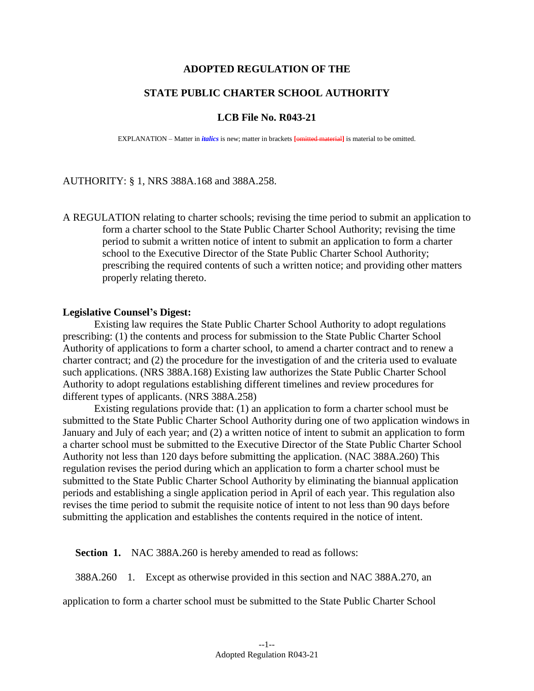## **ADOPTED REGULATION OF THE**

# **STATE PUBLIC CHARTER SCHOOL AUTHORITY**

#### **LCB File No. R043-21**

EXPLANATION – Matter in *italics* is new; matter in brackets **[**omitted material**]** is material to be omitted.

### AUTHORITY: § 1, NRS 388A.168 and 388A.258.

A REGULATION relating to charter schools; revising the time period to submit an application to form a charter school to the State Public Charter School Authority; revising the time period to submit a written notice of intent to submit an application to form a charter school to the Executive Director of the State Public Charter School Authority; prescribing the required contents of such a written notice; and providing other matters properly relating thereto.

#### **Legislative Counsel's Digest:**

Existing law requires the State Public Charter School Authority to adopt regulations prescribing: (1) the contents and process for submission to the State Public Charter School Authority of applications to form a charter school, to amend a charter contract and to renew a charter contract; and (2) the procedure for the investigation of and the criteria used to evaluate such applications. (NRS 388A.168) Existing law authorizes the State Public Charter School Authority to adopt regulations establishing different timelines and review procedures for different types of applicants. (NRS 388A.258)

Existing regulations provide that: (1) an application to form a charter school must be submitted to the State Public Charter School Authority during one of two application windows in January and July of each year; and (2) a written notice of intent to submit an application to form a charter school must be submitted to the Executive Director of the State Public Charter School Authority not less than 120 days before submitting the application. (NAC 388A.260) This regulation revises the period during which an application to form a charter school must be submitted to the State Public Charter School Authority by eliminating the biannual application periods and establishing a single application period in April of each year. This regulation also revises the time period to submit the requisite notice of intent to not less than 90 days before submitting the application and establishes the contents required in the notice of intent.

**Section 1.** NAC 388A.260 is hereby amended to read as follows:

388A.260 1. Except as otherwise provided in this section and NAC 388A.270, an

application to form a charter school must be submitted to the State Public Charter School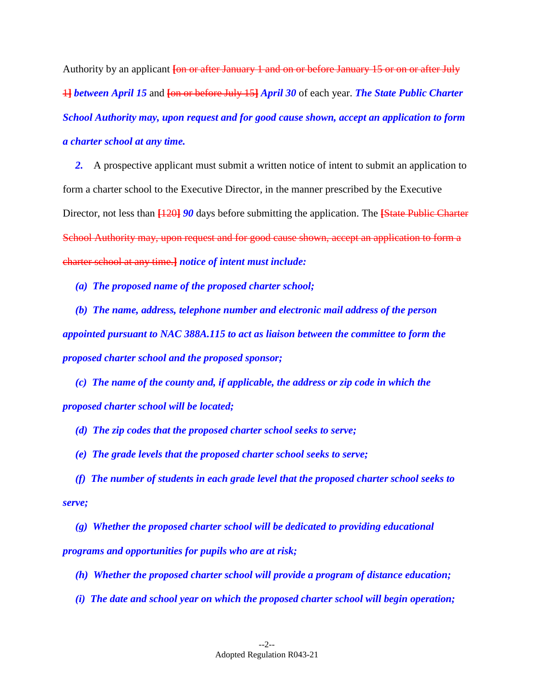Authority by an applicant **[**on or after January 1 and on or before January 15 or on or after July 1**]** *between April 15* and **[**on or before July 15**]** *April 30* of each year. *The State Public Charter School Authority may, upon request and for good cause shown, accept an application to form a charter school at any time.*

*2.* A prospective applicant must submit a written notice of intent to submit an application to form a charter school to the Executive Director, in the manner prescribed by the Executive Director, not less than  $\frac{120}{90}$  days before submitting the application. The **[State Public Charter** School Authority may, upon request and for good cause shown, accept an application to form a charter school at any time.**]** *notice of intent must include:*

*(a) The proposed name of the proposed charter school;*

*(b) The name, address, telephone number and electronic mail address of the person appointed pursuant to NAC 388A.115 to act as liaison between the committee to form the proposed charter school and the proposed sponsor;*

*(c) The name of the county and, if applicable, the address or zip code in which the proposed charter school will be located;*

*(d) The zip codes that the proposed charter school seeks to serve;*

*(e) The grade levels that the proposed charter school seeks to serve;*

*(f) The number of students in each grade level that the proposed charter school seeks to serve;*

*(g) Whether the proposed charter school will be dedicated to providing educational programs and opportunities for pupils who are at risk;*

*(h) Whether the proposed charter school will provide a program of distance education;*

*(i) The date and school year on which the proposed charter school will begin operation;*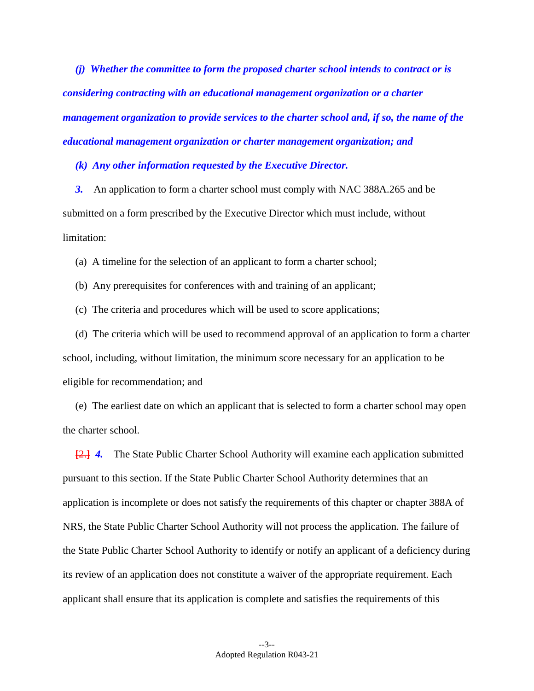*(j) Whether the committee to form the proposed charter school intends to contract or is considering contracting with an educational management organization or a charter management organization to provide services to the charter school and, if so, the name of the educational management organization or charter management organization; and*

*(k) Any other information requested by the Executive Director.* 

*3.* An application to form a charter school must comply with NAC 388A.265 and be submitted on a form prescribed by the Executive Director which must include, without limitation:

(a) A timeline for the selection of an applicant to form a charter school;

(b) Any prerequisites for conferences with and training of an applicant;

(c) The criteria and procedures which will be used to score applications;

(d) The criteria which will be used to recommend approval of an application to form a charter school, including, without limitation, the minimum score necessary for an application to be eligible for recommendation; and

(e) The earliest date on which an applicant that is selected to form a charter school may open the charter school.

**[**2.**]** *4.* The State Public Charter School Authority will examine each application submitted pursuant to this section. If the State Public Charter School Authority determines that an application is incomplete or does not satisfy the requirements of this chapter or chapter 388A of NRS, the State Public Charter School Authority will not process the application. The failure of the State Public Charter School Authority to identify or notify an applicant of a deficiency during its review of an application does not constitute a waiver of the appropriate requirement. Each applicant shall ensure that its application is complete and satisfies the requirements of this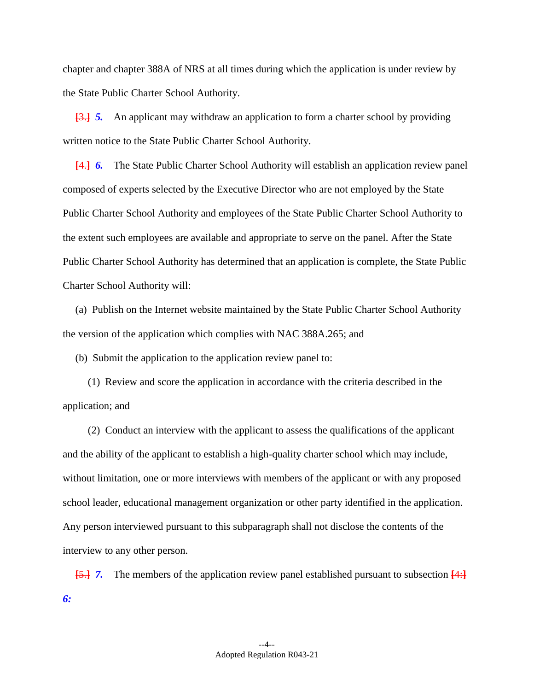chapter and chapter 388A of NRS at all times during which the application is under review by the State Public Charter School Authority.

**[**3.**]** *5.* An applicant may withdraw an application to form a charter school by providing written notice to the State Public Charter School Authority.

**[**4.**]** *6.* The State Public Charter School Authority will establish an application review panel composed of experts selected by the Executive Director who are not employed by the State Public Charter School Authority and employees of the State Public Charter School Authority to the extent such employees are available and appropriate to serve on the panel. After the State Public Charter School Authority has determined that an application is complete, the State Public Charter School Authority will:

(a) Publish on the Internet website maintained by the State Public Charter School Authority the version of the application which complies with NAC 388A.265; and

(b) Submit the application to the application review panel to:

(1) Review and score the application in accordance with the criteria described in the application; and

(2) Conduct an interview with the applicant to assess the qualifications of the applicant and the ability of the applicant to establish a high-quality charter school which may include, without limitation, one or more interviews with members of the applicant or with any proposed school leader, educational management organization or other party identified in the application. Any person interviewed pursuant to this subparagraph shall not disclose the contents of the interview to any other person.

**[**5.**]** *7.* The members of the application review panel established pursuant to subsection **[**4:**]** *6:*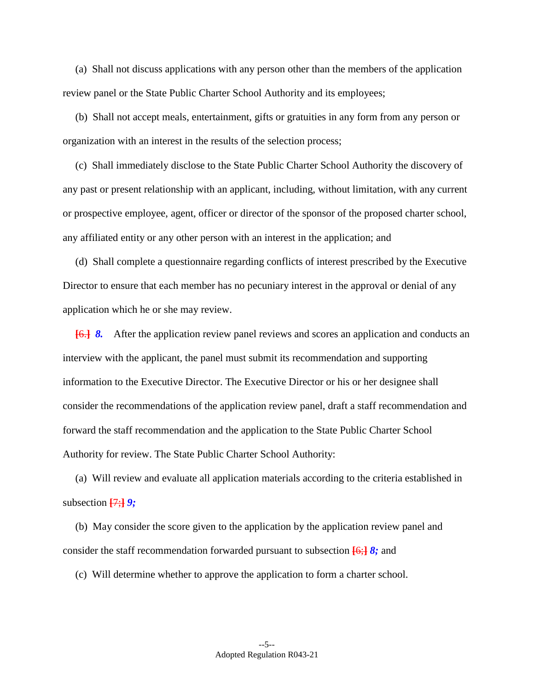(a) Shall not discuss applications with any person other than the members of the application review panel or the State Public Charter School Authority and its employees;

(b) Shall not accept meals, entertainment, gifts or gratuities in any form from any person or organization with an interest in the results of the selection process;

(c) Shall immediately disclose to the State Public Charter School Authority the discovery of any past or present relationship with an applicant, including, without limitation, with any current or prospective employee, agent, officer or director of the sponsor of the proposed charter school, any affiliated entity or any other person with an interest in the application; and

(d) Shall complete a questionnaire regarding conflicts of interest prescribed by the Executive Director to ensure that each member has no pecuniary interest in the approval or denial of any application which he or she may review.

**[**6.**]** *8.* After the application review panel reviews and scores an application and conducts an interview with the applicant, the panel must submit its recommendation and supporting information to the Executive Director. The Executive Director or his or her designee shall consider the recommendations of the application review panel, draft a staff recommendation and forward the staff recommendation and the application to the State Public Charter School Authority for review. The State Public Charter School Authority:

(a) Will review and evaluate all application materials according to the criteria established in subsection **[**7;**]** *9;*

(b) May consider the score given to the application by the application review panel and consider the staff recommendation forwarded pursuant to subsection **[**6;**]** *8;* and

(c) Will determine whether to approve the application to form a charter school.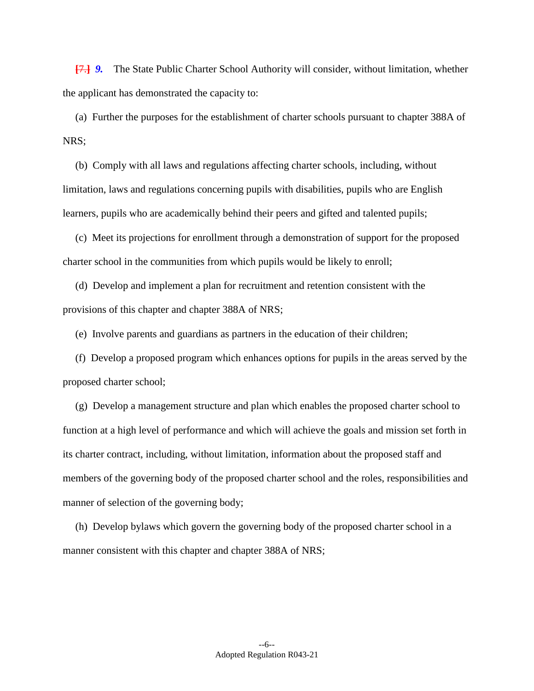**[**7.**]** *9.* The State Public Charter School Authority will consider, without limitation, whether the applicant has demonstrated the capacity to:

(a) Further the purposes for the establishment of charter schools pursuant to chapter 388A of NRS;

(b) Comply with all laws and regulations affecting charter schools, including, without limitation, laws and regulations concerning pupils with disabilities, pupils who are English learners, pupils who are academically behind their peers and gifted and talented pupils;

(c) Meet its projections for enrollment through a demonstration of support for the proposed charter school in the communities from which pupils would be likely to enroll;

(d) Develop and implement a plan for recruitment and retention consistent with the provisions of this chapter and chapter 388A of NRS;

(e) Involve parents and guardians as partners in the education of their children;

(f) Develop a proposed program which enhances options for pupils in the areas served by the proposed charter school;

(g) Develop a management structure and plan which enables the proposed charter school to function at a high level of performance and which will achieve the goals and mission set forth in its charter contract, including, without limitation, information about the proposed staff and members of the governing body of the proposed charter school and the roles, responsibilities and manner of selection of the governing body;

(h) Develop bylaws which govern the governing body of the proposed charter school in a manner consistent with this chapter and chapter 388A of NRS;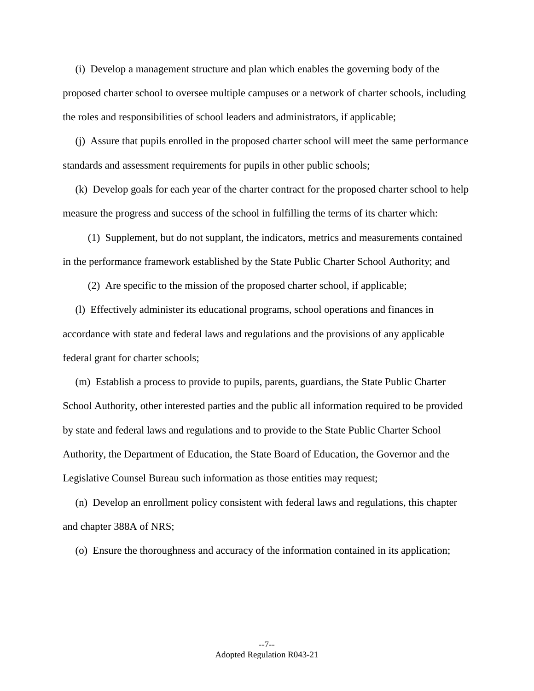(i) Develop a management structure and plan which enables the governing body of the proposed charter school to oversee multiple campuses or a network of charter schools, including the roles and responsibilities of school leaders and administrators, if applicable;

(j) Assure that pupils enrolled in the proposed charter school will meet the same performance standards and assessment requirements for pupils in other public schools;

(k) Develop goals for each year of the charter contract for the proposed charter school to help measure the progress and success of the school in fulfilling the terms of its charter which:

(1) Supplement, but do not supplant, the indicators, metrics and measurements contained in the performance framework established by the State Public Charter School Authority; and

(2) Are specific to the mission of the proposed charter school, if applicable;

(l) Effectively administer its educational programs, school operations and finances in accordance with state and federal laws and regulations and the provisions of any applicable federal grant for charter schools;

(m) Establish a process to provide to pupils, parents, guardians, the State Public Charter School Authority, other interested parties and the public all information required to be provided by state and federal laws and regulations and to provide to the State Public Charter School Authority, the Department of Education, the State Board of Education, the Governor and the Legislative Counsel Bureau such information as those entities may request;

(n) Develop an enrollment policy consistent with federal laws and regulations, this chapter and chapter 388A of NRS;

(o) Ensure the thoroughness and accuracy of the information contained in its application;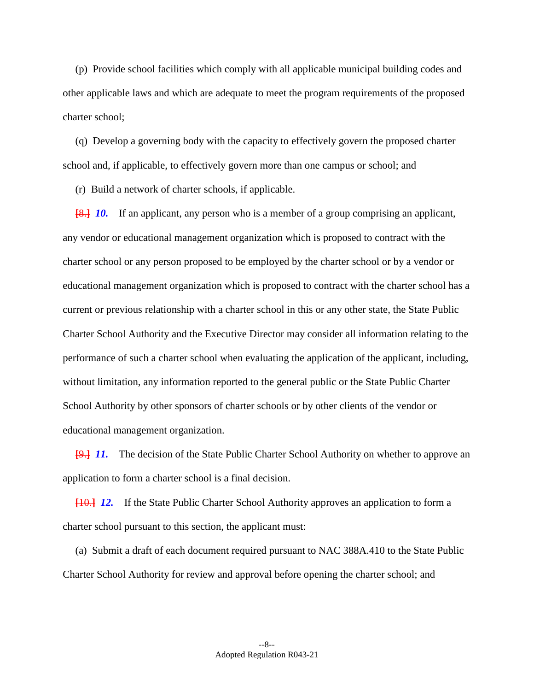(p) Provide school facilities which comply with all applicable municipal building codes and other applicable laws and which are adequate to meet the program requirements of the proposed charter school;

(q) Develop a governing body with the capacity to effectively govern the proposed charter school and, if applicable, to effectively govern more than one campus or school; and

(r) Build a network of charter schools, if applicable.

**[**8.**]** *10.* If an applicant, any person who is a member of a group comprising an applicant, any vendor or educational management organization which is proposed to contract with the charter school or any person proposed to be employed by the charter school or by a vendor or educational management organization which is proposed to contract with the charter school has a current or previous relationship with a charter school in this or any other state, the State Public Charter School Authority and the Executive Director may consider all information relating to the performance of such a charter school when evaluating the application of the applicant, including, without limitation, any information reported to the general public or the State Public Charter School Authority by other sponsors of charter schools or by other clients of the vendor or educational management organization.

**[**9.**]** *11.* The decision of the State Public Charter School Authority on whether to approve an application to form a charter school is a final decision.

**[**10.**]** *12.* If the State Public Charter School Authority approves an application to form a charter school pursuant to this section, the applicant must:

(a) Submit a draft of each document required pursuant to NAC 388A.410 to the State Public Charter School Authority for review and approval before opening the charter school; and